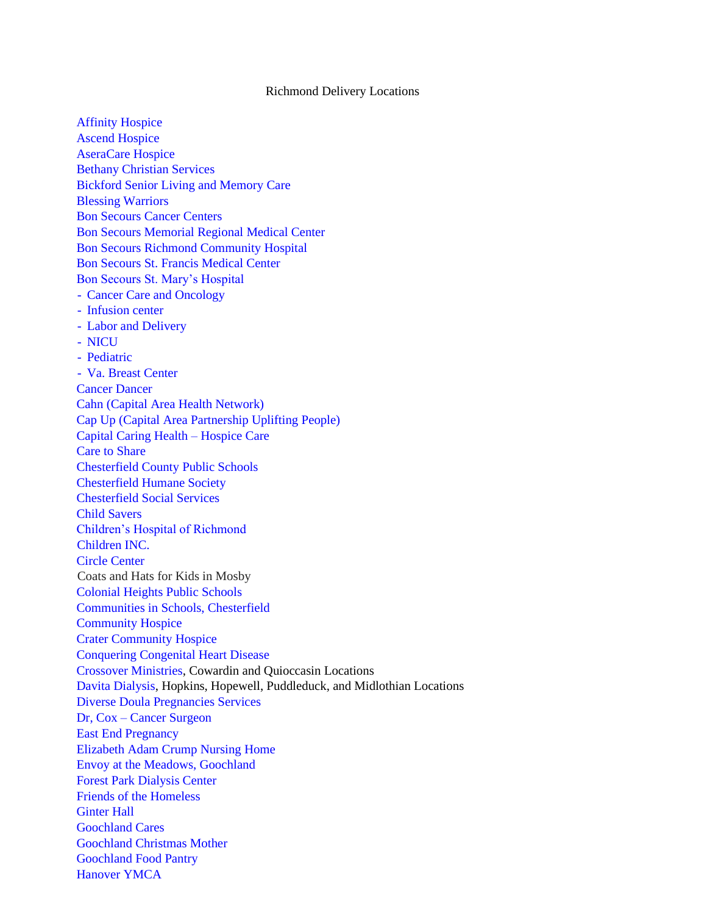## Richmond Delivery Locations

[Affinity Hospice](https://www.affinityhospice.net/) Ascend Hospice AseraCare Hospice Bethany Christian Services Bickford Senior Living and Memory Care Blessing Warriors [Bon Secours Cancer Centers](https://www.bonsecoursmg.com/oncology) Bon Secours Memorial Regional Medical Center Bon Secours Richmond Community Hospital Bon Secours St. Francis Medical Center Bon Secours St. Mary's Hospital - Cancer Care and Oncology - [Infusion center](https://www.bonsecours.com/locations/specialty-locations/cancer-care-oncology/bon-secours-cancer-institute-at-st-marys?utm_source=local-listings&utm_medium=organic&utm_content=website_link) - Labor and Delivery - NICU - [Pediatric](https://www.bonsecours.com/locations/specialty-locations/pediatrics/bon-secours-st-marys-pediatric-neurology?utm_source=local-listings&utm_medium=organic&utm_content=website_link) - Va. Breast Center Cancer Dancer Cahn (Capital Area Health Network) Cap Up (Capital Area Partnership Uplifting People) Capital Caring Health – Hospice Care Care to Share Chesterfield County Public Schools Chesterfield Humane Society Chesterfield Social Services Child Savers Children's Hospital of Richmond Children INC. Circle Center Coats and Hats for Kids in Mosby Colonial Heights Public Schools Communities in Schools, Chesterfield [Community Hospice](https://communityhospicehouse.com/) Crater Community Hospice Conquering Congenital Heart Disease Crossover Ministries, Cowardin and Quioccasin Locations Davita Dialysis, Hopkins, Hopewell, Puddleduck, and Midlothian Locations [Diverse Doula Pregnancies Services](https://thediversedoula.com/) Dr, Cox – [Cancer Surgeon](https://www.womenscancerandwellness.com/staff/diane-cox/) East End Pregnancy Elizabeth Adam Crump Nursing Home Envoy at the Meadows, Goochland Forest Park Dialysis Center Friends of the Homeless Ginter Hall Goochland Cares Goochland Christmas Mother Goochland Food Pantry Hanover YMCA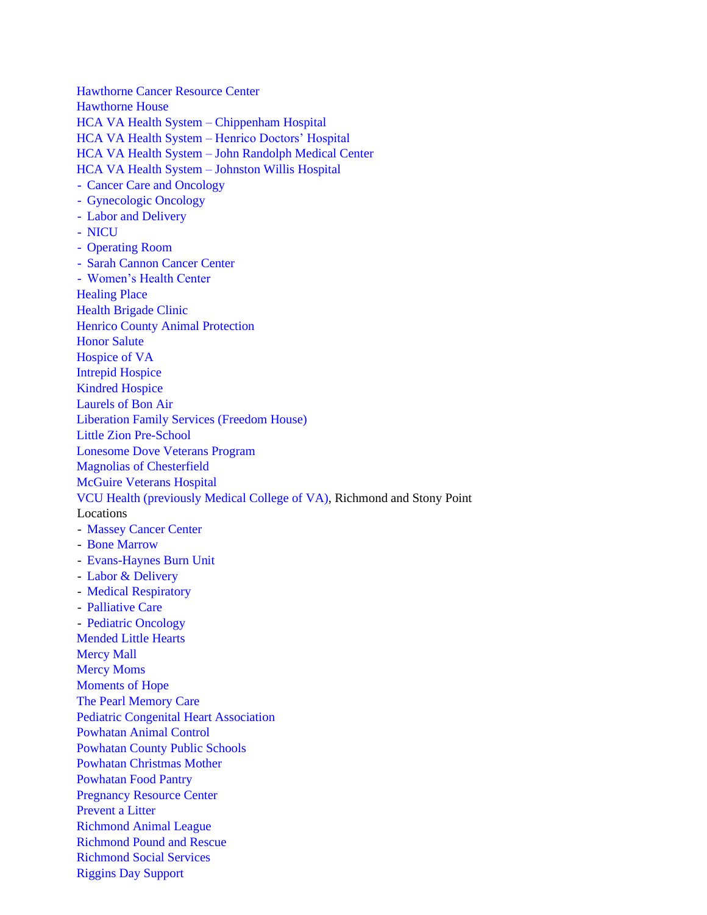Hawthorne Cancer Resource Center Hawthorne House HCA VA Health System – Chippenham Hospital HCA VA Health System – Henrico Doctors' Hospital HCA VA Health System – John Randolph Medical Center HCA VA Health System – Johnston Willis Hospital - Cancer Care and Oncology - Gynecologic Oncology - Labor and Delivery - NICU - Operating Room - Sarah Cannon Cancer Center - Women's Health Center Healing Place Health Brigade Clinic Henrico County Animal Protection Honor Salute Hospice of VA Intrepid Hospice Kindred Hospice Laurels of Bon Air Liberation Family Services (Freedom House) Little Zion Pre-School Lonesome Dove Veterans Program Magnolias of Chesterfield McGuire Veterans Hospital VCU Health (previously Medical College of VA), Richmond and Stony Point Locations - Massey Cancer Center - Bone Marrow - Evans-Haynes Burn Unit - [Labor & Delivery](https://www.vcuhealth.org/services/womens-health/our-services/pregnancy-and-birth) - [Medical Respiratory](https://intmed.vcu.edu/divisions/pulmonary/) - Palliative Care - Pediatric Oncology Mended Little Hearts Mercy Mall Mercy Moms Moments of Hope The Pearl Memory Care Pediatric Congenital Heart Association [Powhatan Animal Control](http://www.powhatanva.gov/192/Animal-Control) Powhatan County Public Schools Powhatan Christmas Mother Powhatan Food Pantry Pregnancy Resource Center Prevent a Litter Richmond Animal League Richmond Pound and Rescue Richmond Social Services [Riggins Day Support](https://www.rigginsres.com/riggins-day-support/)